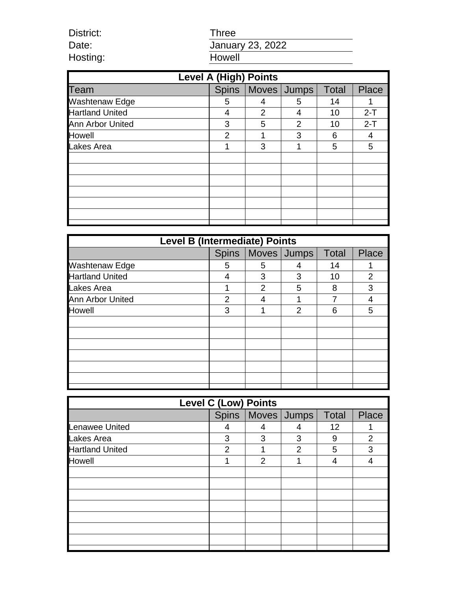| Three            |
|------------------|
| January 23, 2022 |
| Howell           |

District: Date: Hosting:

| <b>Level A (High) Points</b> |              |                |               |              |              |
|------------------------------|--------------|----------------|---------------|--------------|--------------|
| Team                         | <b>Spins</b> | Moves   Jumps  |               | <b>Total</b> | <b>Place</b> |
| <b>Washtenaw Edge</b>        | 5            | 4              | 5             | 14           |              |
| <b>Hartland United</b>       | 4            | $\overline{2}$ | 4             | 10           | $2-T$        |
| Ann Arbor United             | 3            | 5              | $\mathcal{P}$ | 10           | $2-T$        |
| Howell                       | 2            | 1              | 3             | 6            | 4            |
| Lakes Area                   | 1            | 3              | 1             | 5            | 5            |
|                              |              |                |               |              |              |
|                              |              |                |               |              |              |
|                              |              |                |               |              |              |
|                              |              |                |               |              |              |
|                              |              |                |               |              |              |
|                              |              |                |               |              |              |
|                              |              |                |               |              |              |

| <b>Level B (Intermediate) Points</b> |              |                |             |              |                |
|--------------------------------------|--------------|----------------|-------------|--------------|----------------|
|                                      | <b>Spins</b> |                | Moves Jumps | <b>Total</b> | <b>Place</b>   |
| <b>Washtenaw Edge</b>                | 5            | 5              | 4           | 14           | 1              |
| Hartland United                      | 4            | 3              | 3           | 10           | $\overline{2}$ |
| Lakes Area                           | 1            | $\overline{2}$ | 5           | 8            | 3              |
| Ann Arbor United                     | 2            |                |             |              | 4              |
| Howell                               | 3            | 1              | 2           | 6            | 5              |
|                                      |              |                |             |              |                |
|                                      |              |                |             |              |                |
|                                      |              |                |             |              |                |
|                                      |              |                |             |              |                |
|                                      |              |                |             |              |                |
|                                      |              |                |             |              |                |
|                                      |              |                |             |              |                |

| <b>Level C (Low) Points</b> |                |                |                       |              |                |
|-----------------------------|----------------|----------------|-----------------------|--------------|----------------|
|                             |                |                | Spins   Moves   Jumps | <b>Total</b> | Place          |
| Lenawee United              | 4              | 4              |                       | 12           | 1              |
| Lakes Area                  | 3              | 3              | 3                     | 9            | $\overline{2}$ |
| <b>Hartland United</b>      | $\mathfrak{p}$ | 1              | 2                     | 5            | 3              |
| Howell                      | 1              | $\overline{2}$ | 1                     | 4            | 4              |
|                             |                |                |                       |              |                |
|                             |                |                |                       |              |                |
|                             |                |                |                       |              |                |
|                             |                |                |                       |              |                |
|                             |                |                |                       |              |                |
|                             |                |                |                       |              |                |
|                             |                |                |                       |              |                |
|                             |                |                |                       |              |                |